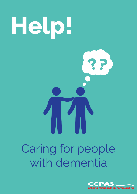

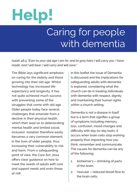# **Help!**

## Caring for people with dementia

Isaiah 46:4 *"Even to your old age I am he, and to grey hairs I will carry you. I have made, and I will bear; I will carry and will save."*

The Bible lays significant emphasis on caring for the elderly and those growing into their old age. Whilst technology has increased life expectancy and longevity, it has not quite achieved much success with preventing some of the struggles that come with old age. Older people today face several challenges that emanate from a decline in their physical health, which then lead on to deteriorating mental health and limited social inclusion. Isolation therefore easily becomes a very common element in the lives of older people, thus increasing their vulnerability to risk and harm. From a safeguarding point of view, the Care Act, 2014 offers clear guidance on how to meet the needs of *adults with care and support needs* and even those *at risk*.

In this leaflet the issue of Dementia is discussed and the implications for safeguarding adults with dementia is explored, considering what the church can do in treating individuals with dementia with respect, dignity and maintaining their human rights within a church setting.

Dementia is not a disease in itself but is a term that signifies a group of symptoms including memory loss, confusion, mood changes and difficulty with day-to-day tasks. It occurs when brain cells stop working properly thus impacting how you think, remember and communicate. The causes for dementia can be any of the following:

- 1. Alzheimer's shrinking of parts of the brain.
- 2. Vascular reduced blood flow to the brain cells.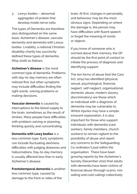3. Lewys bodies – abnormal aggregates of protein that develop inside nerve cells.

The types of Dementia are therefore also distinguished on the same basis: Alzheimer's disease, vascular dementia and dementia with Lewys bodies. Livability, a national Christian disability charity has succinctly defined these types of dementia, (May 2016) as follows:

**Alzheimer's disease** is the most common type of dementia. Problems with day-to-day memory are often noticed first, but other symptoms may include difficulties finding the right words, solving problems or making decisions.

**Vascular dementia** is caused by interruptions to the blood supply to the brain, sometimes as the result of strokes. Many people have difficulties with problem-solving or planning, thinking quickly and concentrating.

**Dementia with Lewy bodies** is a less common type. Early symptoms can include fluctuating alertness, difficulties with judging distances and hallucinations. Day-to-day memory is usually affected less than in early Alzheimer's disease

**Frontotemporal dementia** is another less common type, caused by damage to the front or sides of the

brain. At first, changes in personality and behaviour may be the most obvious signs. Depending on where the damage is, the person may have difficulties with fluent speech or forget the meaning of words or objects.

If you know of someone who is worried about their memory, the GP should be the first point of contact to initiate the process of diagnosis and identifying support.

The ten forms of abuse that the Care Act, 2014 has identified (physical, sexual, psychological, financial, neglect, self-neglect, organisational, domestic abuse, modern slavery, discriminatory) are those which an individual with a diagnosis of dementia may be vulnerable to. Whilst injuries may have a simple, innocent explanation, it is also important for those who support individuals with dementia (care workers, family members, church workers) to remain vigilant to the possibility of abuse and report any concerns to the Safeguarding Co-ordinator/Lead within the organisation. There have been growing reports by the Alzheimer's Society (December 2011) that adults with dementia have been victims of financial abuse (through scams, misselling and cold calling) collectively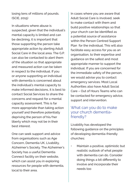losing tens of millions of pounds. (SCIE, 2015)

In situations where abuse is suspected, given that the individual's mental capacity is limited and can be declining, it is important that those supporting the person take appropriate action by alerting Adult Social Care in the local area. The G.P. can also be contacted to alert them of the situation so that appropriate and measured action can be taken in respect to the individual. If you or anyone supporting an individual with dementia is concerned about the individual's mental capacity to make informed decisions, it is best to contact Social Services to share the concerns and request for a mental capacity assessment. This is far more appropriate than taking action yourself and therefore potentially depriving the person of his/her liberty which may not be in their best interest.

One can seek support and advice from organisations such as Age Concern, Dementia UK, Livability, Alzheimer's Society. The Alzheimer's Society has a useful Dementia Connect facility on their website, which can assist you in exploring resources for people with dementia, local to their area.

In cases where you are aware that Adult Social Care is involved, seek to make contact with them and build positive relationships so that your church can be identified as a potential source of assistance within the Person Centred Support Plan for the individual. This will also facilitate easy access for you as an organisation, to their expertise and guidance on the safest and most appropriate manner to support the individual. If you are concerned for the immediate safety of the person, we would advise you to contact emergency services. Most Local Authorities also have Adult Social Care – Out of Hours Teams who can be contacted for emergency advice, support and intervention.

#### What can you do to make your church dementiafriendly?

Livability has developed the following guidance on the principles of developing dementia-friendly churches:

• Maintain a positive, optimistic but realistic outlook of what people with dementia can do. Consider doing things a bit differently to involve and incorporate their needs too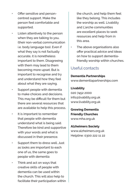- Offer sensitive and personcentred support. Make the person feel comfortable and supported.
- Listen attentively to the person when they are talking to you, (their non-verbal communication i.e. body language too). Even if what they say is not factually accurate, it is nonetheless important to them. Disagreeing with them may lead to them becoming more upset. But is important to recognise and try and understand how they feel about what they are saying.
- Support people with dementia to make choices and decisions. This may be difficult for them but there are several resources that are available to help this process.
- It is important to remember that people with dementia understand what is being said. Therefore be kind and supportive with your words and what is discussed in their presence.
- Support them to dress well. Just as looks are important to each one of us, the same goes to people with dementia
- Think and act on ways that creative skills of people with dementia can be used within the church. This will also help to facilitate their participation within

the church, and help them feel like they belong. This includes the worship as well. Livability and L'arche communities are excellent places to seek resources and help from in this area.

The above organisations also offer practical advice and ideas on how to support dementiafriendly worship within churches.

### Useful contacts

#### **Dementia Partnerships**

www.dementiapartnerships.com

**Livability** 020 7452 2000 info@livability.org.uk www.livability.org.uk

**Growing Dementia Friendly Churches** www.mha.org.uk

**Alzheimers Society** www.alzheimers.org.uk Helpline: 0300 222 11 22